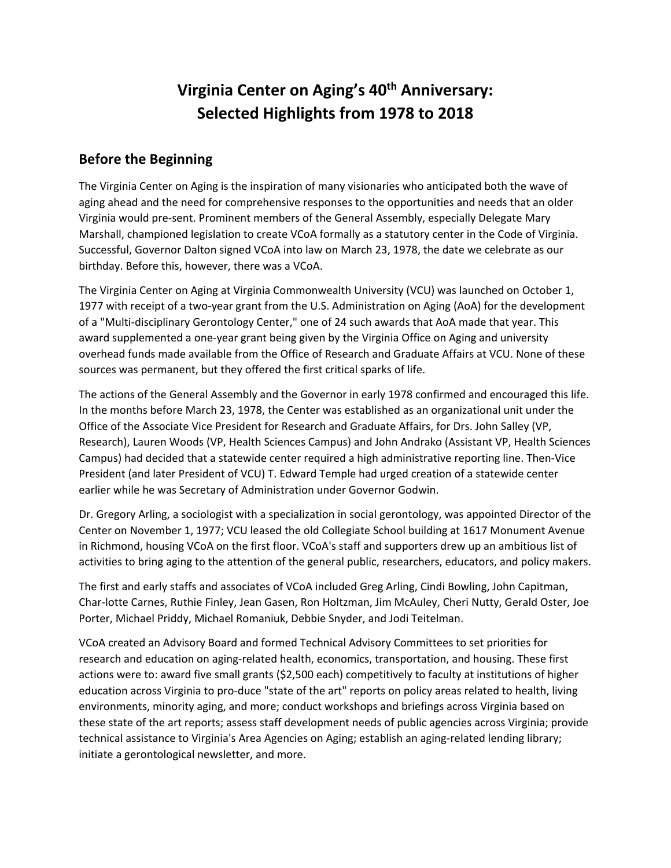# **Virginia Center on Aging's 40th Anniversary: Selected Highlights from 1978 to 2018**

#### **Before the Beginning**

The Virginia Center on Aging is the inspiration of many visionaries who anticipated both the wave of aging ahead and the need for comprehensive responses to the opportunities and needs that an older Virginia would pre-sent. Prominent members of the General Assembly, especially Delegate Mary Marshall, championed legislation to create VCoA formally as a statutory center in the Code of Virginia. Successful, Governor Dalton signed VCoA into law on March 23, 1978, the date we celebrate as our birthday. Before this, however, there was a VCoA.

The Virginia Center on Aging at Virginia Commonwealth University (VCU) was launched on October 1, 1977 with receipt of a two-year grant from the U.S. Administration on Aging (AoA) for the development of a "Multi-disciplinary Gerontology Center," one of 24 such awards that AoA made that year. This award supplemented a one-year grant being given by the Virginia Office on Aging and university overhead funds made available from the Office of Research and Graduate Affairs at VCU. None of these sources was permanent, but they offered the first critical sparks of life.

The actions of the General Assembly and the Governor in early 1978 confirmed and encouraged this life. In the months before March 23, 1978, the Center was established as an organizational unit under the Office of the Associate Vice President for Research and Graduate Affairs, for Drs. John Salley (VP, Research), Lauren Woods (VP, Health Sciences Campus) and John Andrako (Assistant VP, Health Sciences Campus) had decided that a statewide center required a high administrative reporting line. Then-Vice President (and later President of VCU) T. Edward Temple had urged creation of a statewide center earlier while he was Secretary of Administration under Governor Godwin.

Dr. Gregory Arling, a sociologist with a specialization in social gerontology, was appointed Director of the Center on November 1, 1977; VCU leased the old Collegiate School building at 1617 Monument Avenue in Richmond, housing VCoA on the first floor. VCoA's staff and supporters drew up an ambitious list of activities to bring aging to the attention of the general public, researchers, educators, and policy makers.

The first and early staffs and associates of VCoA included Greg Arling, Cindi Bowling, John Capitman, Char-lotte Carnes, Ruthie Finley, Jean Gasen, Ron Holtzman, Jim McAuley, Cheri Nutty, Gerald Oster, Joe Porter, Michael Priddy, Michael Romaniuk, Debbie Snyder, and Jodi Teitelman.

VCoA created an Advisory Board and formed Technical Advisory Committees to set priorities for research and education on aging-related health, economics, transportation, and housing. These first actions were to: award five small grants (\$2,500 each) competitively to faculty at institutions of higher education across Virginia to pro-duce "state of the art" reports on policy areas related to health, living environments, minority aging, and more; conduct workshops and briefings across Virginia based on these state of the art reports; assess staff development needs of public agencies across Virginia; provide technical assistance to Virginia's Area Agencies on Aging; establish an aging-related lending library; initiate a gerontological newsletter, and more.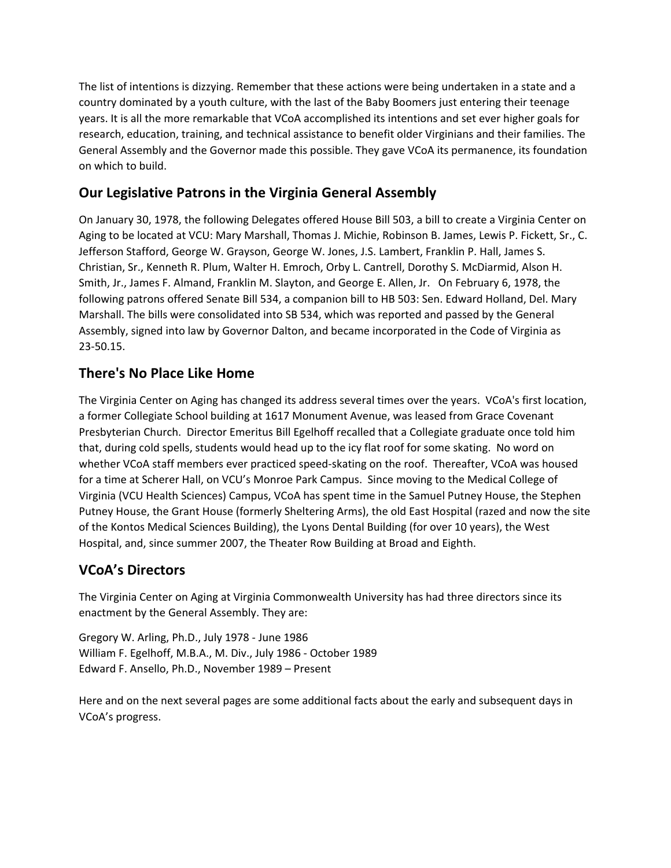The list of intentions is dizzying. Remember that these actions were being undertaken in a state and a country dominated by a youth culture, with the last of the Baby Boomers just entering their teenage years. It is all the more remarkable that VCoA accomplished its intentions and set ever higher goals for research, education, training, and technical assistance to benefit older Virginians and their families. The General Assembly and the Governor made this possible. They gave VCoA its permanence, its foundation on which to build.

## **Our Legislative Patrons in the Virginia General Assembly**

On January 30, 1978, the following Delegates offered House Bill 503, a bill to create a Virginia Center on Aging to be located at VCU: Mary Marshall, Thomas J. Michie, Robinson B. James, Lewis P. Fickett, Sr., C. Jefferson Stafford, George W. Grayson, George W. Jones, J.S. Lambert, Franklin P. Hall, James S. Christian, Sr., Kenneth R. Plum, Walter H. Emroch, Orby L. Cantrell, Dorothy S. McDiarmid, Alson H. Smith, Jr., James F. Almand, Franklin M. Slayton, and George E. Allen, Jr. On February 6, 1978, the following patrons offered Senate Bill 534, a companion bill to HB 503: Sen. Edward Holland, Del. Mary Marshall. The bills were consolidated into SB 534, which was reported and passed by the General Assembly, signed into law by Governor Dalton, and became incorporated in the Code of Virginia as 23-50.15.

### **There's No Place Like Home**

The Virginia Center on Aging has changed its address several times over the years. VCoA's first location, a former Collegiate School building at 1617 Monument Avenue, was leased from Grace Covenant Presbyterian Church. Director Emeritus Bill Egelhoff recalled that a Collegiate graduate once told him that, during cold spells, students would head up to the icy flat roof for some skating. No word on whether VCoA staff members ever practiced speed-skating on the roof. Thereafter, VCoA was housed for a time at Scherer Hall, on VCU's Monroe Park Campus. Since moving to the Medical College of Virginia (VCU Health Sciences) Campus, VCoA has spent time in the Samuel Putney House, the Stephen Putney House, the Grant House (formerly Sheltering Arms), the old East Hospital (razed and now the site of the Kontos Medical Sciences Building), the Lyons Dental Building (for over 10 years), the West Hospital, and, since summer 2007, the Theater Row Building at Broad and Eighth.

### **VCoA's Directors**

The Virginia Center on Aging at Virginia Commonwealth University has had three directors since its enactment by the General Assembly. They are:

Gregory W. Arling, Ph.D., July 1978 - June 1986 William F. Egelhoff, M.B.A., M. Div., July 1986 - October 1989 Edward F. Ansello, Ph.D., November 1989 – Present

Here and on the next several pages are some additional facts about the early and subsequent days in VCoA's progress.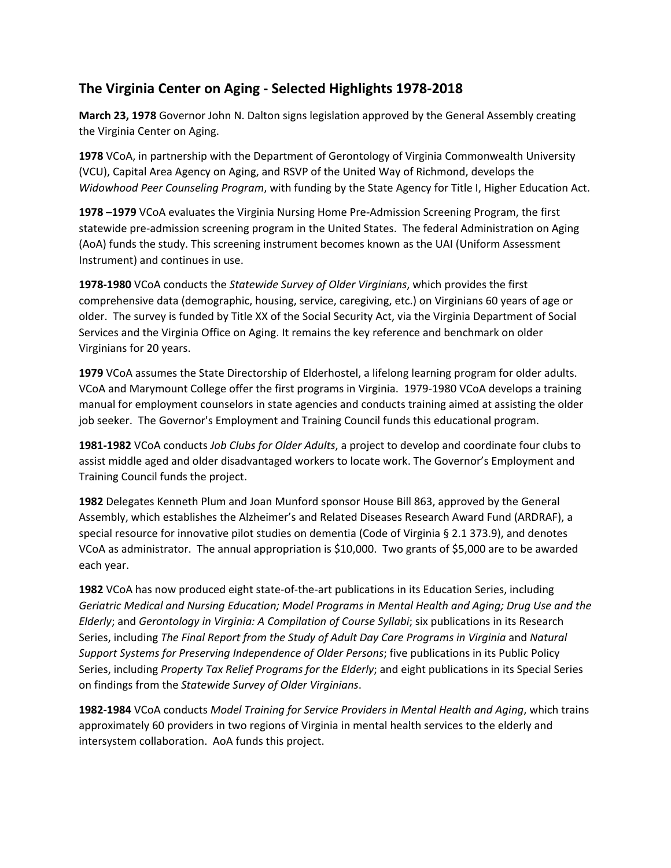### **The Virginia Center on Aging - Selected Highlights 1978-2018**

**March 23, 1978** Governor John N. Dalton signs legislation approved by the General Assembly creating the Virginia Center on Aging.

**1978** VCoA, in partnership with the Department of Gerontology of Virginia Commonwealth University (VCU), Capital Area Agency on Aging, and RSVP of the United Way of Richmond, develops the *Widowhood Peer Counseling Program*, with funding by the State Agency for Title I, Higher Education Act.

**1978 –1979** VCoA evaluates the Virginia Nursing Home Pre-Admission Screening Program, the first statewide pre-admission screening program in the United States. The federal Administration on Aging (AoA) funds the study. This screening instrument becomes known as the UAI (Uniform Assessment Instrument) and continues in use.

**1978-1980** VCoA conducts the *Statewide Survey of Older Virginians*, which provides the first comprehensive data (demographic, housing, service, caregiving, etc.) on Virginians 60 years of age or older. The survey is funded by Title XX of the Social Security Act, via the Virginia Department of Social Services and the Virginia Office on Aging. It remains the key reference and benchmark on older Virginians for 20 years.

**1979** VCoA assumes the State Directorship of Elderhostel, a lifelong learning program for older adults. VCoA and Marymount College offer the first programs in Virginia. 1979-1980 VCoA develops a training manual for employment counselors in state agencies and conducts training aimed at assisting the older job seeker. The Governor's Employment and Training Council funds this educational program.

**1981-1982** VCoA conducts *Job Clubs for Older Adults*, a project to develop and coordinate four clubs to assist middle aged and older disadvantaged workers to locate work. The Governor's Employment and Training Council funds the project.

**1982** Delegates Kenneth Plum and Joan Munford sponsor House Bill 863, approved by the General Assembly, which establishes the Alzheimer's and Related Diseases Research Award Fund (ARDRAF), a special resource for innovative pilot studies on dementia (Code of Virginia § 2.1 373.9), and denotes VCoA as administrator. The annual appropriation is \$10,000. Two grants of \$5,000 are to be awarded each year.

**1982** VCoA has now produced eight state-of-the-art publications in its Education Series, including *Geriatric Medical and Nursing Education; Model Programs in Mental Health and Aging; Drug Use and the Elderly*; and *Gerontology in Virginia: A Compilation of Course Syllabi*; six publications in its Research Series, including *The Final Report from the Study of Adult Day Care Programs in Virginia* and *Natural Support Systems for Preserving Independence of Older Persons*; five publications in its Public Policy Series, including *Property Tax Relief Programs for the Elderly*; and eight publications in its Special Series on findings from the *Statewide Survey of Older Virginians*.

**1982-1984** VCoA conducts *Model Training for Service Providers in Mental Health and Aging*, which trains approximately 60 providers in two regions of Virginia in mental health services to the elderly and intersystem collaboration. AoA funds this project.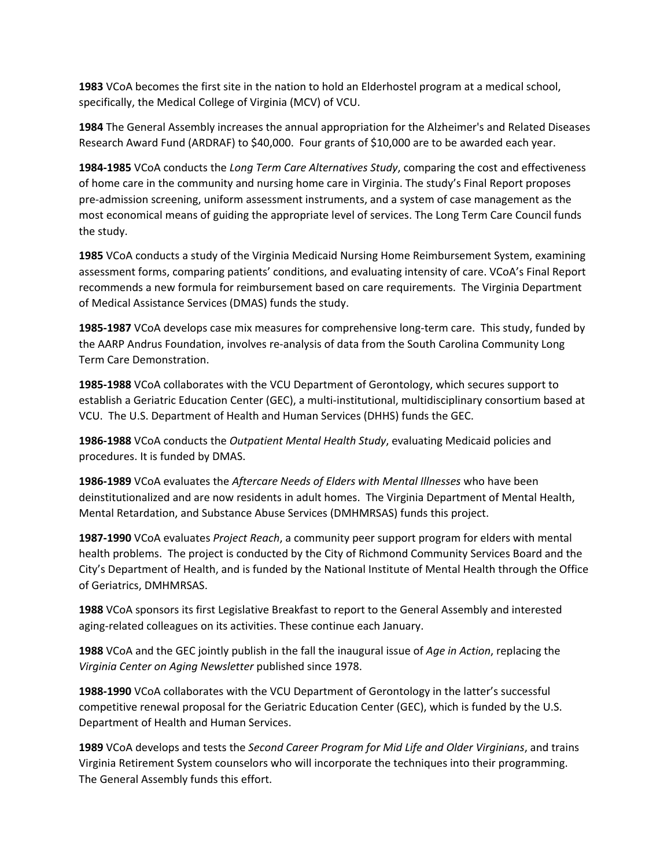**1983** VCoA becomes the first site in the nation to hold an Elderhostel program at a medical school, specifically, the Medical College of Virginia (MCV) of VCU.

**1984** The General Assembly increases the annual appropriation for the Alzheimer's and Related Diseases Research Award Fund (ARDRAF) to \$40,000. Four grants of \$10,000 are to be awarded each year.

**1984-1985** VCoA conducts the *Long Term Care Alternatives Study*, comparing the cost and effectiveness of home care in the community and nursing home care in Virginia. The study's Final Report proposes pre-admission screening, uniform assessment instruments, and a system of case management as the most economical means of guiding the appropriate level of services. The Long Term Care Council funds the study.

**1985** VCoA conducts a study of the Virginia Medicaid Nursing Home Reimbursement System, examining assessment forms, comparing patients' conditions, and evaluating intensity of care. VCoA's Final Report recommends a new formula for reimbursement based on care requirements. The Virginia Department of Medical Assistance Services (DMAS) funds the study.

**1985-1987** VCoA develops case mix measures for comprehensive long-term care. This study, funded by the AARP Andrus Foundation, involves re-analysis of data from the South Carolina Community Long Term Care Demonstration.

**1985-1988** VCoA collaborates with the VCU Department of Gerontology, which secures support to establish a Geriatric Education Center (GEC), a multi-institutional, multidisciplinary consortium based at VCU. The U.S. Department of Health and Human Services (DHHS) funds the GEC.

**1986-1988** VCoA conducts the *Outpatient Mental Health Study*, evaluating Medicaid policies and procedures. It is funded by DMAS.

**1986-1989** VCoA evaluates the *Aftercare Needs of Elders with Mental Illnesses* who have been deinstitutionalized and are now residents in adult homes. The Virginia Department of Mental Health, Mental Retardation, and Substance Abuse Services (DMHMRSAS) funds this project.

**1987-1990** VCoA evaluates *Project Reach*, a community peer support program for elders with mental health problems. The project is conducted by the City of Richmond Community Services Board and the City's Department of Health, and is funded by the National Institute of Mental Health through the Office of Geriatrics, DMHMRSAS.

**1988** VCoA sponsors its first Legislative Breakfast to report to the General Assembly and interested aging-related colleagues on its activities. These continue each January.

**1988** VCoA and the GEC jointly publish in the fall the inaugural issue of *Age in Action*, replacing the *Virginia Center on Aging Newsletter* published since 1978.

**1988-1990** VCoA collaborates with the VCU Department of Gerontology in the latter's successful competitive renewal proposal for the Geriatric Education Center (GEC), which is funded by the U.S. Department of Health and Human Services.

**1989** VCoA develops and tests the *Second Career Program for Mid Life and Older Virginians*, and trains Virginia Retirement System counselors who will incorporate the techniques into their programming. The General Assembly funds this effort.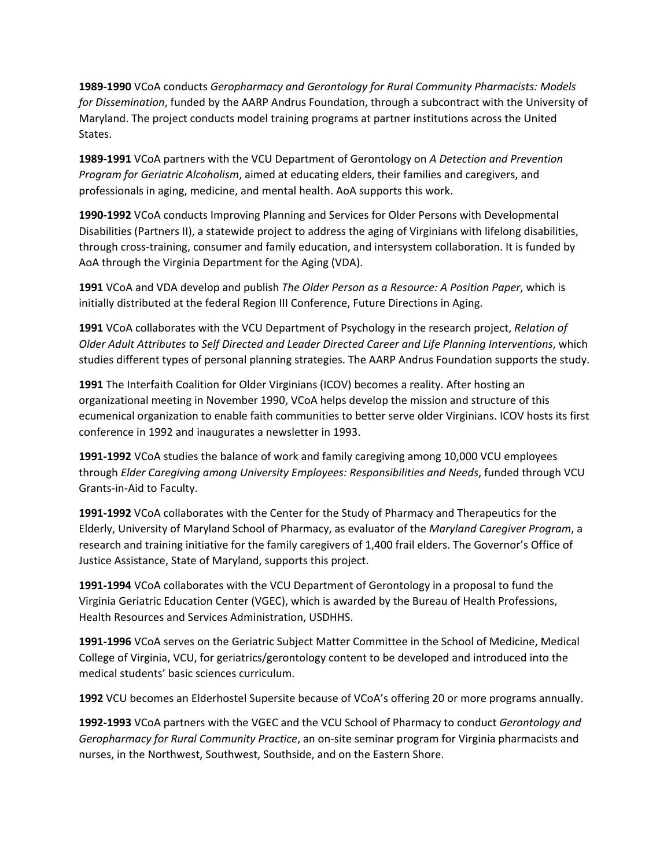**1989-1990** VCoA conducts *Geropharmacy and Gerontology for Rural Community Pharmacists: Models for Dissemination*, funded by the AARP Andrus Foundation, through a subcontract with the University of Maryland. The project conducts model training programs at partner institutions across the United States.

**1989-1991** VCoA partners with the VCU Department of Gerontology on *A Detection and Prevention Program for Geriatric Alcoholism*, aimed at educating elders, their families and caregivers, and professionals in aging, medicine, and mental health. AoA supports this work.

**1990-1992** VCoA conducts Improving Planning and Services for Older Persons with Developmental Disabilities (Partners II), a statewide project to address the aging of Virginians with lifelong disabilities, through cross-training, consumer and family education, and intersystem collaboration. It is funded by AoA through the Virginia Department for the Aging (VDA).

**1991** VCoA and VDA develop and publish *The Older Person as a Resource: A Position Paper*, which is initially distributed at the federal Region III Conference, Future Directions in Aging.

**1991** VCoA collaborates with the VCU Department of Psychology in the research project, *Relation of Older Adult Attributes to Self Directed and Leader Directed Career and Life Planning Interventions*, which studies different types of personal planning strategies. The AARP Andrus Foundation supports the study.

**1991** The Interfaith Coalition for Older Virginians (ICOV) becomes a reality. After hosting an organizational meeting in November 1990, VCoA helps develop the mission and structure of this ecumenical organization to enable faith communities to better serve older Virginians. ICOV hosts its first conference in 1992 and inaugurates a newsletter in 1993.

**1991-1992** VCoA studies the balance of work and family caregiving among 10,000 VCU employees through *Elder Caregiving among University Employees: Responsibilities and Needs*, funded through VCU Grants-in-Aid to Faculty.

**1991-1992** VCoA collaborates with the Center for the Study of Pharmacy and Therapeutics for the Elderly, University of Maryland School of Pharmacy, as evaluator of the *Maryland Caregiver Program*, a research and training initiative for the family caregivers of 1,400 frail elders. The Governor's Office of Justice Assistance, State of Maryland, supports this project.

**1991-1994** VCoA collaborates with the VCU Department of Gerontology in a proposal to fund the Virginia Geriatric Education Center (VGEC), which is awarded by the Bureau of Health Professions, Health Resources and Services Administration, USDHHS.

**1991-1996** VCoA serves on the Geriatric Subject Matter Committee in the School of Medicine, Medical College of Virginia, VCU, for geriatrics/gerontology content to be developed and introduced into the medical students' basic sciences curriculum.

**1992** VCU becomes an Elderhostel Supersite because of VCoA's offering 20 or more programs annually.

**1992-1993** VCoA partners with the VGEC and the VCU School of Pharmacy to conduct *Gerontology and Geropharmacy for Rural Community Practice*, an on-site seminar program for Virginia pharmacists and nurses, in the Northwest, Southwest, Southside, and on the Eastern Shore.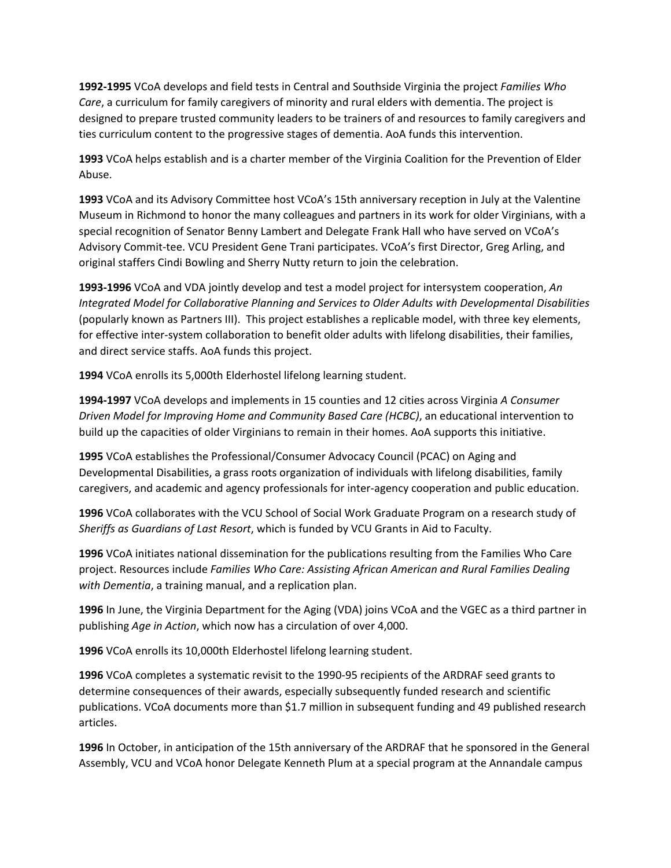**1992-1995** VCoA develops and field tests in Central and Southside Virginia the project *Families Who Care*, a curriculum for family caregivers of minority and rural elders with dementia. The project is designed to prepare trusted community leaders to be trainers of and resources to family caregivers and ties curriculum content to the progressive stages of dementia. AoA funds this intervention.

**1993** VCoA helps establish and is a charter member of the Virginia Coalition for the Prevention of Elder Abuse.

**1993** VCoA and its Advisory Committee host VCoA's 15th anniversary reception in July at the Valentine Museum in Richmond to honor the many colleagues and partners in its work for older Virginians, with a special recognition of Senator Benny Lambert and Delegate Frank Hall who have served on VCoA's Advisory Commit-tee. VCU President Gene Trani participates. VCoA's first Director, Greg Arling, and original staffers Cindi Bowling and Sherry Nutty return to join the celebration.

**1993-1996** VCoA and VDA jointly develop and test a model project for intersystem cooperation, *An Integrated Model for Collaborative Planning and Services to Older Adults with Developmental Disabilities*  (popularly known as Partners III). This project establishes a replicable model, with three key elements, for effective inter-system collaboration to benefit older adults with lifelong disabilities, their families, and direct service staffs. AoA funds this project.

**1994** VCoA enrolls its 5,000th Elderhostel lifelong learning student.

**1994-1997** VCoA develops and implements in 15 counties and 12 cities across Virginia *A Consumer Driven Model for Improving Home and Community Based Care (HCBC)*, an educational intervention to build up the capacities of older Virginians to remain in their homes. AoA supports this initiative.

**1995** VCoA establishes the Professional/Consumer Advocacy Council (PCAC) on Aging and Developmental Disabilities, a grass roots organization of individuals with lifelong disabilities, family caregivers, and academic and agency professionals for inter-agency cooperation and public education.

**1996** VCoA collaborates with the VCU School of Social Work Graduate Program on a research study of *Sheriffs as Guardians of Last Resort*, which is funded by VCU Grants in Aid to Faculty.

**1996** VCoA initiates national dissemination for the publications resulting from the Families Who Care project. Resources include *Families Who Care: Assisting African American and Rural Families Dealing with Dementia*, a training manual, and a replication plan.

**1996** In June, the Virginia Department for the Aging (VDA) joins VCoA and the VGEC as a third partner in publishing *Age in Action*, which now has a circulation of over 4,000.

**1996** VCoA enrolls its 10,000th Elderhostel lifelong learning student.

**1996** VCoA completes a systematic revisit to the 1990-95 recipients of the ARDRAF seed grants to determine consequences of their awards, especially subsequently funded research and scientific publications. VCoA documents more than \$1.7 million in subsequent funding and 49 published research articles.

**1996** In October, in anticipation of the 15th anniversary of the ARDRAF that he sponsored in the General Assembly, VCU and VCoA honor Delegate Kenneth Plum at a special program at the Annandale campus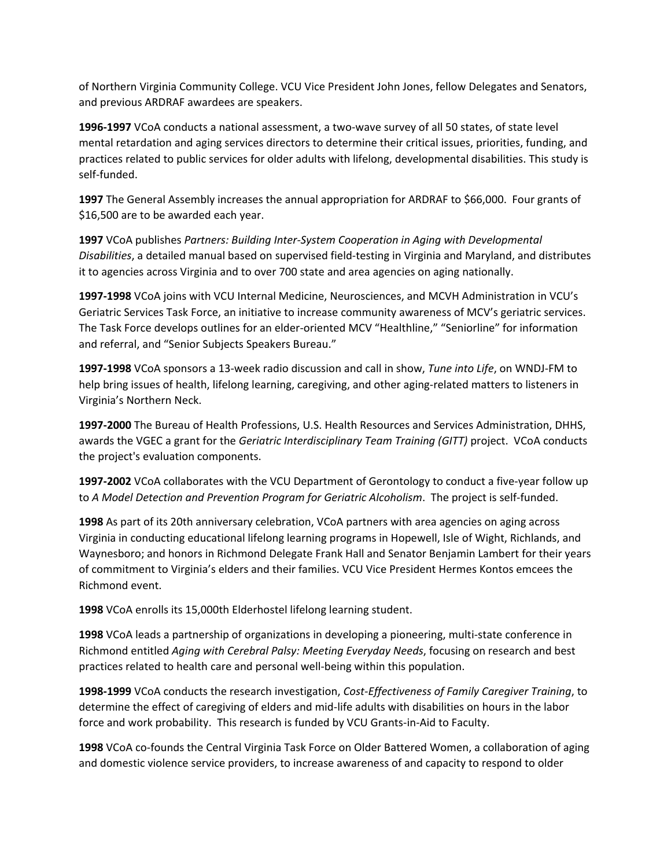of Northern Virginia Community College. VCU Vice President John Jones, fellow Delegates and Senators, and previous ARDRAF awardees are speakers.

**1996-1997** VCoA conducts a national assessment, a two-wave survey of all 50 states, of state level mental retardation and aging services directors to determine their critical issues, priorities, funding, and practices related to public services for older adults with lifelong, developmental disabilities. This study is self-funded.

**1997** The General Assembly increases the annual appropriation for ARDRAF to \$66,000. Four grants of \$16,500 are to be awarded each year.

**1997** VCoA publishes *Partners: Building Inter-System Cooperation in Aging with Developmental Disabilities*, a detailed manual based on supervised field-testing in Virginia and Maryland, and distributes it to agencies across Virginia and to over 700 state and area agencies on aging nationally.

**1997-1998** VCoA joins with VCU Internal Medicine, Neurosciences, and MCVH Administration in VCU's Geriatric Services Task Force, an initiative to increase community awareness of MCV's geriatric services. The Task Force develops outlines for an elder-oriented MCV "Healthline," "Seniorline" for information and referral, and "Senior Subjects Speakers Bureau."

**1997-1998** VCoA sponsors a 13-week radio discussion and call in show, *Tune into Life*, on WNDJ-FM to help bring issues of health, lifelong learning, caregiving, and other aging-related matters to listeners in Virginia's Northern Neck.

**1997-2000** The Bureau of Health Professions, U.S. Health Resources and Services Administration, DHHS, awards the VGEC a grant for the *Geriatric Interdisciplinary Team Training (GITT)* project. VCoA conducts the project's evaluation components.

**1997-2002** VCoA collaborates with the VCU Department of Gerontology to conduct a five-year follow up to *A Model Detection and Prevention Program for Geriatric Alcoholism*. The project is self-funded.

**1998** As part of its 20th anniversary celebration, VCoA partners with area agencies on aging across Virginia in conducting educational lifelong learning programs in Hopewell, Isle of Wight, Richlands, and Waynesboro; and honors in Richmond Delegate Frank Hall and Senator Benjamin Lambert for their years of commitment to Virginia's elders and their families. VCU Vice President Hermes Kontos emcees the Richmond event.

**1998** VCoA enrolls its 15,000th Elderhostel lifelong learning student.

**1998** VCoA leads a partnership of organizations in developing a pioneering, multi-state conference in Richmond entitled *Aging with Cerebral Palsy: Meeting Everyday Needs*, focusing on research and best practices related to health care and personal well-being within this population.

**1998-1999** VCoA conducts the research investigation, *Cost-Effectiveness of Family Caregiver Training*, to determine the effect of caregiving of elders and mid-life adults with disabilities on hours in the labor force and work probability. This research is funded by VCU Grants-in-Aid to Faculty.

**1998** VCoA co-founds the Central Virginia Task Force on Older Battered Women, a collaboration of aging and domestic violence service providers, to increase awareness of and capacity to respond to older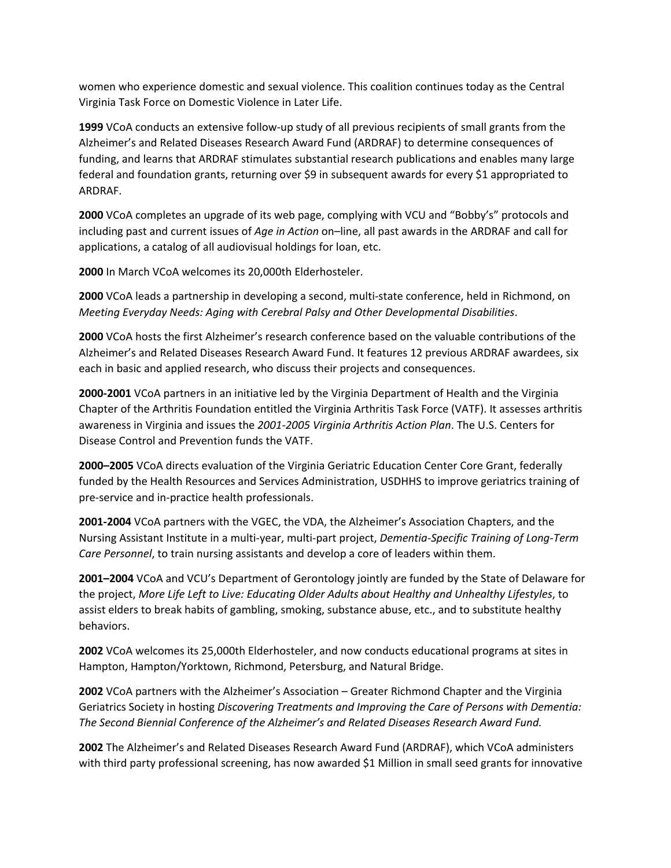women who experience domestic and sexual violence. This coalition continues today as the Central Virginia Task Force on Domestic Violence in Later Life.

**1999** VCoA conducts an extensive follow-up study of all previous recipients of small grants from the Alzheimer's and Related Diseases Research Award Fund (ARDRAF) to determine consequences of funding, and learns that ARDRAF stimulates substantial research publications and enables many large federal and foundation grants, returning over \$9 in subsequent awards for every \$1 appropriated to ARDRAF.

**2000** VCoA completes an upgrade of its web page, complying with VCU and "Bobby's" protocols and including past and current issues of *Age in Action* on–line, all past awards in the ARDRAF and call for applications, a catalog of all audiovisual holdings for loan, etc.

**2000** In March VCoA welcomes its 20,000th Elderhosteler.

**2000** VCoA leads a partnership in developing a second, multi-state conference, held in Richmond, on *Meeting Everyday Needs: Aging with Cerebral Palsy and Other Developmental Disabilities*.

**2000** VCoA hosts the first Alzheimer's research conference based on the valuable contributions of the Alzheimer's and Related Diseases Research Award Fund. It features 12 previous ARDRAF awardees, six each in basic and applied research, who discuss their projects and consequences.

**2000-2001** VCoA partners in an initiative led by the Virginia Department of Health and the Virginia Chapter of the Arthritis Foundation entitled the Virginia Arthritis Task Force (VATF). It assesses arthritis awareness in Virginia and issues the *2001-2005 Virginia Arthritis Action Plan*. The U.S. Centers for Disease Control and Prevention funds the VATF.

**2000–2005** VCoA directs evaluation of the Virginia Geriatric Education Center Core Grant, federally funded by the Health Resources and Services Administration, USDHHS to improve geriatrics training of pre-service and in-practice health professionals.

**2001-2004** VCoA partners with the VGEC, the VDA, the Alzheimer's Association Chapters, and the Nursing Assistant Institute in a multi-year, multi-part project, *Dementia-Specific Training of Long-Term Care Personnel*, to train nursing assistants and develop a core of leaders within them.

**2001–2004** VCoA and VCU's Department of Gerontology jointly are funded by the State of Delaware for the project, *More Life Left to Live: Educating Older Adults about Healthy and Unhealthy Lifestyles*, to assist elders to break habits of gambling, smoking, substance abuse, etc., and to substitute healthy behaviors.

**2002** VCoA welcomes its 25,000th Elderhosteler, and now conducts educational programs at sites in Hampton, Hampton/Yorktown, Richmond, Petersburg, and Natural Bridge.

**2002** VCoA partners with the Alzheimer's Association – Greater Richmond Chapter and the Virginia Geriatrics Society in hosting *Discovering Treatments and Improving the Care of Persons with Dementia: The Second Biennial Conference of the Alzheimer's and Related Diseases Research Award Fund.*

**2002** The Alzheimer's and Related Diseases Research Award Fund (ARDRAF), which VCoA administers with third party professional screening, has now awarded \$1 Million in small seed grants for innovative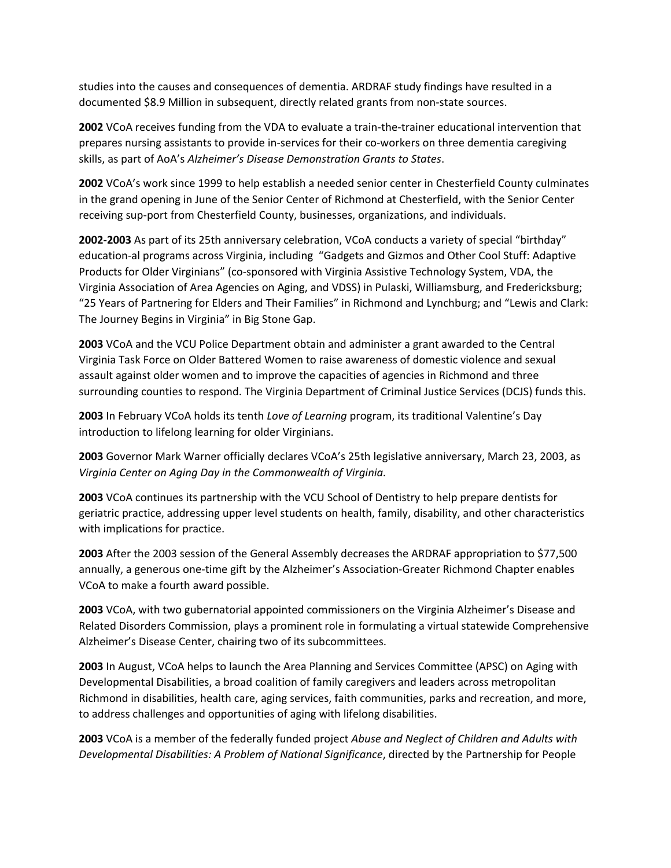studies into the causes and consequences of dementia. ARDRAF study findings have resulted in a documented \$8.9 Million in subsequent, directly related grants from non-state sources.

**2002** VCoA receives funding from the VDA to evaluate a train-the-trainer educational intervention that prepares nursing assistants to provide in-services for their co-workers on three dementia caregiving skills, as part of AoA's *Alzheimer's Disease Demonstration Grants to States*.

**2002** VCoA's work since 1999 to help establish a needed senior center in Chesterfield County culminates in the grand opening in June of the Senior Center of Richmond at Chesterfield, with the Senior Center receiving sup-port from Chesterfield County, businesses, organizations, and individuals.

**2002-2003** As part of its 25th anniversary celebration, VCoA conducts a variety of special "birthday" education-al programs across Virginia, including "Gadgets and Gizmos and Other Cool Stuff: Adaptive Products for Older Virginians" (co-sponsored with Virginia Assistive Technology System, VDA, the Virginia Association of Area Agencies on Aging, and VDSS) in Pulaski, Williamsburg, and Fredericksburg; "25 Years of Partnering for Elders and Their Families" in Richmond and Lynchburg; and "Lewis and Clark: The Journey Begins in Virginia" in Big Stone Gap.

**2003** VCoA and the VCU Police Department obtain and administer a grant awarded to the Central Virginia Task Force on Older Battered Women to raise awareness of domestic violence and sexual assault against older women and to improve the capacities of agencies in Richmond and three surrounding counties to respond. The Virginia Department of Criminal Justice Services (DCJS) funds this.

**2003** In February VCoA holds its tenth *Love of Learning* program, its traditional Valentine's Day introduction to lifelong learning for older Virginians.

**2003** Governor Mark Warner officially declares VCoA's 25th legislative anniversary, March 23, 2003, as *Virginia Center on Aging Day in the Commonwealth of Virginia.*

**2003** VCoA continues its partnership with the VCU School of Dentistry to help prepare dentists for geriatric practice, addressing upper level students on health, family, disability, and other characteristics with implications for practice.

**2003** After the 2003 session of the General Assembly decreases the ARDRAF appropriation to \$77,500 annually, a generous one-time gift by the Alzheimer's Association-Greater Richmond Chapter enables VCoA to make a fourth award possible.

**2003** VCoA, with two gubernatorial appointed commissioners on the Virginia Alzheimer's Disease and Related Disorders Commission, plays a prominent role in formulating a virtual statewide Comprehensive Alzheimer's Disease Center, chairing two of its subcommittees.

**2003** In August, VCoA helps to launch the Area Planning and Services Committee (APSC) on Aging with Developmental Disabilities, a broad coalition of family caregivers and leaders across metropolitan Richmond in disabilities, health care, aging services, faith communities, parks and recreation, and more, to address challenges and opportunities of aging with lifelong disabilities.

**2003** VCoA is a member of the federally funded project *Abuse and Neglect of Children and Adults with Developmental Disabilities: A Problem of National Significance*, directed by the Partnership for People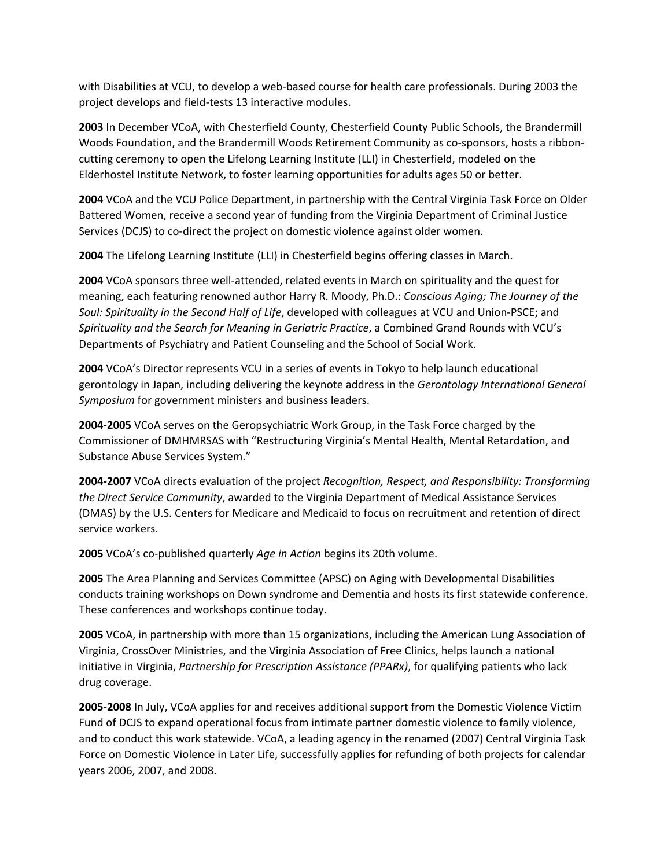with Disabilities at VCU, to develop a web-based course for health care professionals. During 2003 the project develops and field-tests 13 interactive modules.

**2003** In December VCoA, with Chesterfield County, Chesterfield County Public Schools, the Brandermill Woods Foundation, and the Brandermill Woods Retirement Community as co-sponsors, hosts a ribboncutting ceremony to open the Lifelong Learning Institute (LLI) in Chesterfield, modeled on the Elderhostel Institute Network, to foster learning opportunities for adults ages 50 or better.

**2004** VCoA and the VCU Police Department, in partnership with the Central Virginia Task Force on Older Battered Women, receive a second year of funding from the Virginia Department of Criminal Justice Services (DCJS) to co-direct the project on domestic violence against older women.

**2004** The Lifelong Learning Institute (LLI) in Chesterfield begins offering classes in March.

**2004** VCoA sponsors three well-attended, related events in March on spirituality and the quest for meaning, each featuring renowned author Harry R. Moody, Ph.D.: *Conscious Aging; The Journey of the Soul: Spirituality in the Second Half of Life*, developed with colleagues at VCU and Union-PSCE; and *Spirituality and the Search for Meaning in Geriatric Practice*, a Combined Grand Rounds with VCU's Departments of Psychiatry and Patient Counseling and the School of Social Work.

**2004** VCoA's Director represents VCU in a series of events in Tokyo to help launch educational gerontology in Japan, including delivering the keynote address in the *Gerontology International General Symposium* for government ministers and business leaders.

**2004-2005** VCoA serves on the Geropsychiatric Work Group, in the Task Force charged by the Commissioner of DMHMRSAS with "Restructuring Virginia's Mental Health, Mental Retardation, and Substance Abuse Services System."

**2004-2007** VCoA directs evaluation of the project *Recognition, Respect, and Responsibility: Transforming the Direct Service Community*, awarded to the Virginia Department of Medical Assistance Services (DMAS) by the U.S. Centers for Medicare and Medicaid to focus on recruitment and retention of direct service workers.

**2005** VCoA's co-published quarterly *Age in Action* begins its 20th volume.

**2005** The Area Planning and Services Committee (APSC) on Aging with Developmental Disabilities conducts training workshops on Down syndrome and Dementia and hosts its first statewide conference. These conferences and workshops continue today.

**2005** VCoA, in partnership with more than 15 organizations, including the American Lung Association of Virginia, CrossOver Ministries, and the Virginia Association of Free Clinics, helps launch a national initiative in Virginia, *Partnership for Prescription Assistance (PPARx)*, for qualifying patients who lack drug coverage.

**2005-2008** In July, VCoA applies for and receives additional support from the Domestic Violence Victim Fund of DCJS to expand operational focus from intimate partner domestic violence to family violence, and to conduct this work statewide. VCoA, a leading agency in the renamed (2007) Central Virginia Task Force on Domestic Violence in Later Life, successfully applies for refunding of both projects for calendar years 2006, 2007, and 2008.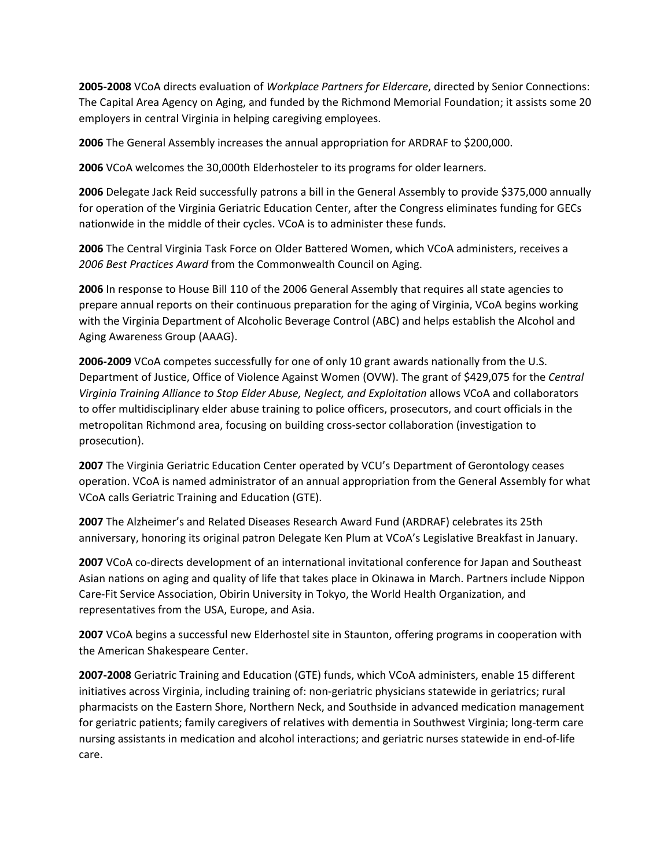**2005-2008** VCoA directs evaluation of *Workplace Partners for Eldercare*, directed by Senior Connections: The Capital Area Agency on Aging, and funded by the Richmond Memorial Foundation; it assists some 20 employers in central Virginia in helping caregiving employees.

**2006** The General Assembly increases the annual appropriation for ARDRAF to \$200,000.

**2006** VCoA welcomes the 30,000th Elderhosteler to its programs for older learners.

**2006** Delegate Jack Reid successfully patrons a bill in the General Assembly to provide \$375,000 annually for operation of the Virginia Geriatric Education Center, after the Congress eliminates funding for GECs nationwide in the middle of their cycles. VCoA is to administer these funds.

**2006** The Central Virginia Task Force on Older Battered Women, which VCoA administers, receives a *2006 Best Practices Award* from the Commonwealth Council on Aging.

**2006** In response to House Bill 110 of the 2006 General Assembly that requires all state agencies to prepare annual reports on their continuous preparation for the aging of Virginia, VCoA begins working with the Virginia Department of Alcoholic Beverage Control (ABC) and helps establish the Alcohol and Aging Awareness Group (AAAG).

**2006-2009** VCoA competes successfully for one of only 10 grant awards nationally from the U.S. Department of Justice, Office of Violence Against Women (OVW). The grant of \$429,075 for the *Central Virginia Training Alliance to Stop Elder Abuse, Neglect, and Exploitation* allows VCoA and collaborators to offer multidisciplinary elder abuse training to police officers, prosecutors, and court officials in the metropolitan Richmond area, focusing on building cross-sector collaboration (investigation to prosecution).

**2007** The Virginia Geriatric Education Center operated by VCU's Department of Gerontology ceases operation. VCoA is named administrator of an annual appropriation from the General Assembly for what VCoA calls Geriatric Training and Education (GTE).

**2007** The Alzheimer's and Related Diseases Research Award Fund (ARDRAF) celebrates its 25th anniversary, honoring its original patron Delegate Ken Plum at VCoA's Legislative Breakfast in January.

**2007** VCoA co-directs development of an international invitational conference for Japan and Southeast Asian nations on aging and quality of life that takes place in Okinawa in March. Partners include Nippon Care-Fit Service Association, Obirin University in Tokyo, the World Health Organization, and representatives from the USA, Europe, and Asia.

**2007** VCoA begins a successful new Elderhostel site in Staunton, offering programs in cooperation with the American Shakespeare Center.

**2007-2008** Geriatric Training and Education (GTE) funds, which VCoA administers, enable 15 different initiatives across Virginia, including training of: non-geriatric physicians statewide in geriatrics; rural pharmacists on the Eastern Shore, Northern Neck, and Southside in advanced medication management for geriatric patients; family caregivers of relatives with dementia in Southwest Virginia; long-term care nursing assistants in medication and alcohol interactions; and geriatric nurses statewide in end-of-life care.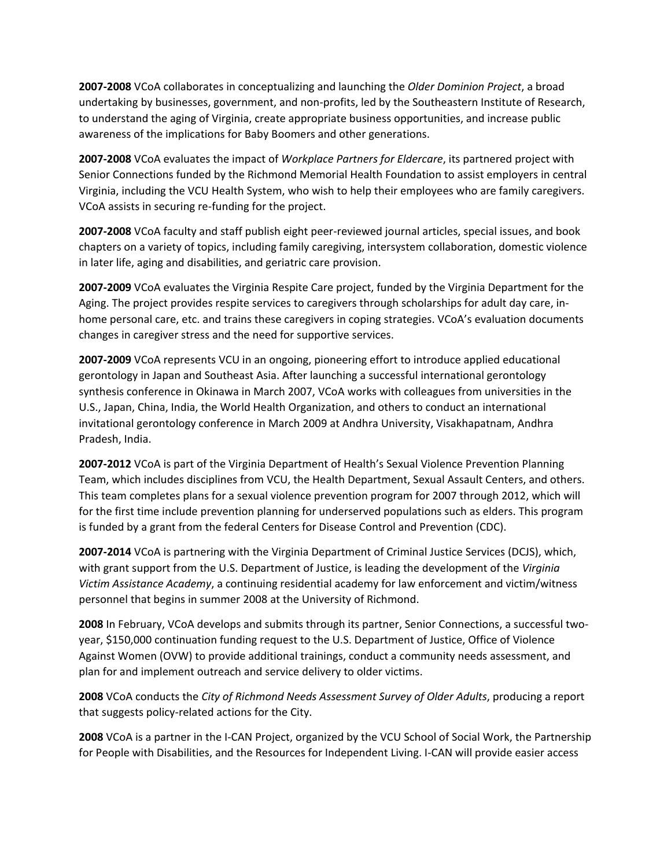**2007-2008** VCoA collaborates in conceptualizing and launching the *Older Dominion Project*, a broad undertaking by businesses, government, and non-profits, led by the Southeastern Institute of Research, to understand the aging of Virginia, create appropriate business opportunities, and increase public awareness of the implications for Baby Boomers and other generations.

**2007-2008** VCoA evaluates the impact of *Workplace Partners for Eldercare*, its partnered project with Senior Connections funded by the Richmond Memorial Health Foundation to assist employers in central Virginia, including the VCU Health System, who wish to help their employees who are family caregivers. VCoA assists in securing re-funding for the project.

**2007-2008** VCoA faculty and staff publish eight peer-reviewed journal articles, special issues, and book chapters on a variety of topics, including family caregiving, intersystem collaboration, domestic violence in later life, aging and disabilities, and geriatric care provision.

**2007-2009** VCoA evaluates the Virginia Respite Care project, funded by the Virginia Department for the Aging. The project provides respite services to caregivers through scholarships for adult day care, inhome personal care, etc. and trains these caregivers in coping strategies. VCoA's evaluation documents changes in caregiver stress and the need for supportive services.

**2007-2009** VCoA represents VCU in an ongoing, pioneering effort to introduce applied educational gerontology in Japan and Southeast Asia. After launching a successful international gerontology synthesis conference in Okinawa in March 2007, VCoA works with colleagues from universities in the U.S., Japan, China, India, the World Health Organization, and others to conduct an international invitational gerontology conference in March 2009 at Andhra University, Visakhapatnam, Andhra Pradesh, India.

**2007-2012** VCoA is part of the Virginia Department of Health's Sexual Violence Prevention Planning Team, which includes disciplines from VCU, the Health Department, Sexual Assault Centers, and others. This team completes plans for a sexual violence prevention program for 2007 through 2012, which will for the first time include prevention planning for underserved populations such as elders. This program is funded by a grant from the federal Centers for Disease Control and Prevention (CDC).

**2007-2014** VCoA is partnering with the Virginia Department of Criminal Justice Services (DCJS), which, with grant support from the U.S. Department of Justice, is leading the development of the *Virginia Victim Assistance Academy*, a continuing residential academy for law enforcement and victim/witness personnel that begins in summer 2008 at the University of Richmond.

**2008** In February, VCoA develops and submits through its partner, Senior Connections, a successful twoyear, \$150,000 continuation funding request to the U.S. Department of Justice, Office of Violence Against Women (OVW) to provide additional trainings, conduct a community needs assessment, and plan for and implement outreach and service delivery to older victims.

**2008** VCoA conducts the *City of Richmond Needs Assessment Survey of Older Adults*, producing a report that suggests policy-related actions for the City.

**2008** VCoA is a partner in the I-CAN Project, organized by the VCU School of Social Work, the Partnership for People with Disabilities, and the Resources for Independent Living. I-CAN will provide easier access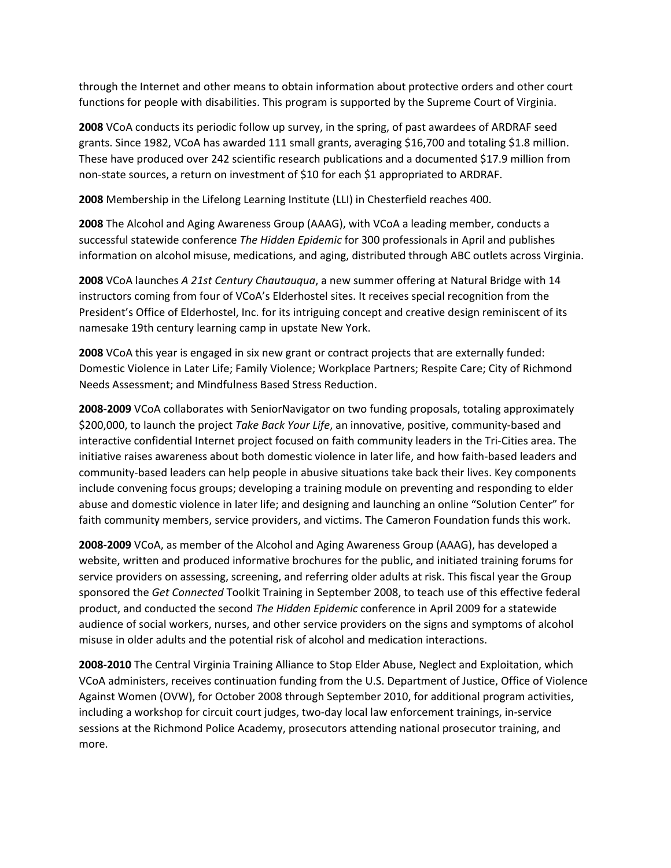through the Internet and other means to obtain information about protective orders and other court functions for people with disabilities. This program is supported by the Supreme Court of Virginia.

**2008** VCoA conducts its periodic follow up survey, in the spring, of past awardees of ARDRAF seed grants. Since 1982, VCoA has awarded 111 small grants, averaging \$16,700 and totaling \$1.8 million. These have produced over 242 scientific research publications and a documented \$17.9 million from non-state sources, a return on investment of \$10 for each \$1 appropriated to ARDRAF.

**2008** Membership in the Lifelong Learning Institute (LLI) in Chesterfield reaches 400.

**2008** The Alcohol and Aging Awareness Group (AAAG), with VCoA a leading member, conducts a successful statewide conference *The Hidden Epidemic* for 300 professionals in April and publishes information on alcohol misuse, medications, and aging, distributed through ABC outlets across Virginia.

**2008** VCoA launches *A 21st Century Chautauqua*, a new summer offering at Natural Bridge with 14 instructors coming from four of VCoA's Elderhostel sites. It receives special recognition from the President's Office of Elderhostel, Inc. for its intriguing concept and creative design reminiscent of its namesake 19th century learning camp in upstate New York.

**2008** VCoA this year is engaged in six new grant or contract projects that are externally funded: Domestic Violence in Later Life; Family Violence; Workplace Partners; Respite Care; City of Richmond Needs Assessment; and Mindfulness Based Stress Reduction.

**2008-2009** VCoA collaborates with SeniorNavigator on two funding proposals, totaling approximately \$200,000, to launch the project *Take Back Your Life*, an innovative, positive, community-based and interactive confidential Internet project focused on faith community leaders in the Tri-Cities area. The initiative raises awareness about both domestic violence in later life, and how faith-based leaders and community-based leaders can help people in abusive situations take back their lives. Key components include convening focus groups; developing a training module on preventing and responding to elder abuse and domestic violence in later life; and designing and launching an online "Solution Center" for faith community members, service providers, and victims. The Cameron Foundation funds this work.

**2008-2009** VCoA, as member of the Alcohol and Aging Awareness Group (AAAG), has developed a website, written and produced informative brochures for the public, and initiated training forums for service providers on assessing, screening, and referring older adults at risk. This fiscal year the Group sponsored the *Get Connected* Toolkit Training in September 2008, to teach use of this effective federal product, and conducted the second *The Hidden Epidemic* conference in April 2009 for a statewide audience of social workers, nurses, and other service providers on the signs and symptoms of alcohol misuse in older adults and the potential risk of alcohol and medication interactions.

**2008-2010** The Central Virginia Training Alliance to Stop Elder Abuse, Neglect and Exploitation, which VCoA administers, receives continuation funding from the U.S. Department of Justice, Office of Violence Against Women (OVW), for October 2008 through September 2010, for additional program activities, including a workshop for circuit court judges, two-day local law enforcement trainings, in-service sessions at the Richmond Police Academy, prosecutors attending national prosecutor training, and more.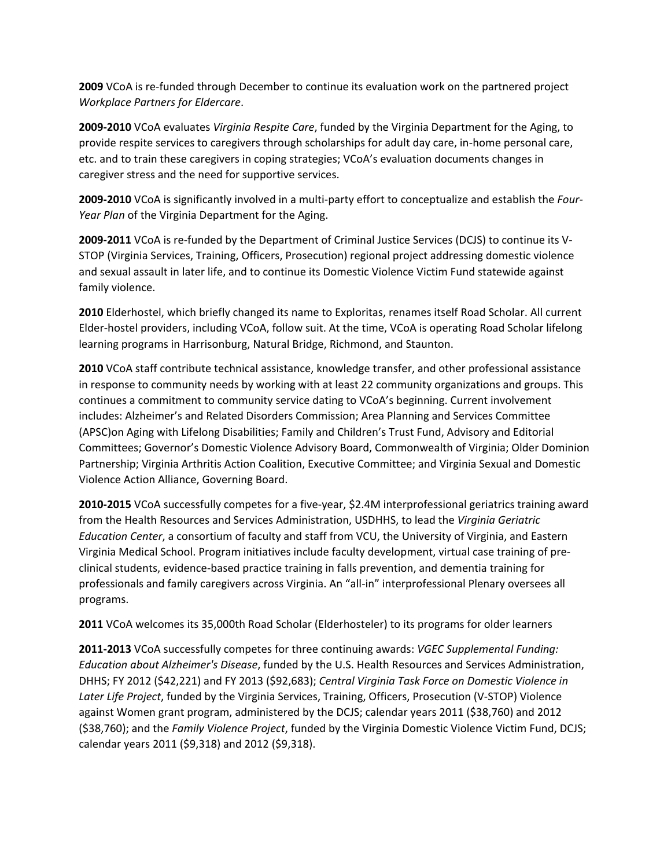**2009** VCoA is re-funded through December to continue its evaluation work on the partnered project *Workplace Partners for Eldercare*.

**2009-2010** VCoA evaluates *Virginia Respite Care*, funded by the Virginia Department for the Aging, to provide respite services to caregivers through scholarships for adult day care, in-home personal care, etc. and to train these caregivers in coping strategies; VCoA's evaluation documents changes in caregiver stress and the need for supportive services.

**2009-2010** VCoA is significantly involved in a multi-party effort to conceptualize and establish the *Four-Year Plan* of the Virginia Department for the Aging.

**2009-2011** VCoA is re-funded by the Department of Criminal Justice Services (DCJS) to continue its V-STOP (Virginia Services, Training, Officers, Prosecution) regional project addressing domestic violence and sexual assault in later life, and to continue its Domestic Violence Victim Fund statewide against family violence.

**2010** Elderhostel, which briefly changed its name to Exploritas, renames itself Road Scholar. All current Elder-hostel providers, including VCoA, follow suit. At the time, VCoA is operating Road Scholar lifelong learning programs in Harrisonburg, Natural Bridge, Richmond, and Staunton.

**2010** VCoA staff contribute technical assistance, knowledge transfer, and other professional assistance in response to community needs by working with at least 22 community organizations and groups. This continues a commitment to community service dating to VCoA's beginning. Current involvement includes: Alzheimer's and Related Disorders Commission; Area Planning and Services Committee (APSC)on Aging with Lifelong Disabilities; Family and Children's Trust Fund, Advisory and Editorial Committees; Governor's Domestic Violence Advisory Board, Commonwealth of Virginia; Older Dominion Partnership; Virginia Arthritis Action Coalition, Executive Committee; and Virginia Sexual and Domestic Violence Action Alliance, Governing Board.

**2010-2015** VCoA successfully competes for a five-year, \$2.4M interprofessional geriatrics training award from the Health Resources and Services Administration, USDHHS, to lead the *Virginia Geriatric Education Center*, a consortium of faculty and staff from VCU, the University of Virginia, and Eastern Virginia Medical School. Program initiatives include faculty development, virtual case training of preclinical students, evidence-based practice training in falls prevention, and dementia training for professionals and family caregivers across Virginia. An "all-in" interprofessional Plenary oversees all programs.

**2011** VCoA welcomes its 35,000th Road Scholar (Elderhosteler) to its programs for older learners

**2011-2013** VCoA successfully competes for three continuing awards: *VGEC Supplemental Funding: Education about Alzheimer's Disease*, funded by the U.S. Health Resources and Services Administration, DHHS; FY 2012 (\$42,221) and FY 2013 (\$92,683); *Central Virginia Task Force on Domestic Violence in Later Life Project*, funded by the Virginia Services, Training, Officers, Prosecution (V-STOP) Violence against Women grant program, administered by the DCJS; calendar years 2011 (\$38,760) and 2012 (\$38,760); and the *Family Violence Project*, funded by the Virginia Domestic Violence Victim Fund, DCJS; calendar years 2011 (\$9,318) and 2012 (\$9,318).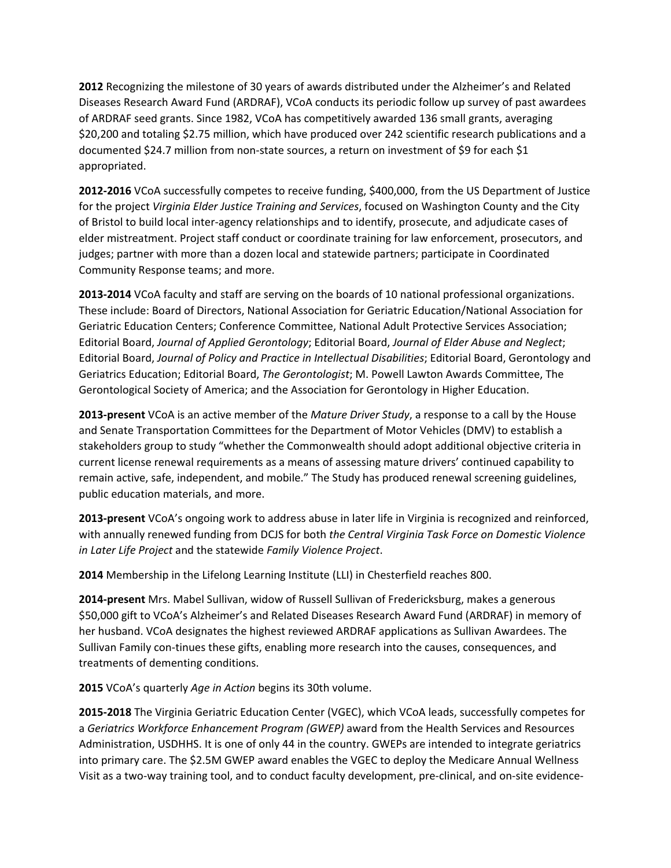**2012** Recognizing the milestone of 30 years of awards distributed under the Alzheimer's and Related Diseases Research Award Fund (ARDRAF), VCoA conducts its periodic follow up survey of past awardees of ARDRAF seed grants. Since 1982, VCoA has competitively awarded 136 small grants, averaging \$20,200 and totaling \$2.75 million, which have produced over 242 scientific research publications and a documented \$24.7 million from non-state sources, a return on investment of \$9 for each \$1 appropriated.

**2012-2016** VCoA successfully competes to receive funding, \$400,000, from the US Department of Justice for the project *Virginia Elder Justice Training and Services*, focused on Washington County and the City of Bristol to build local inter-agency relationships and to identify, prosecute, and adjudicate cases of elder mistreatment. Project staff conduct or coordinate training for law enforcement, prosecutors, and judges; partner with more than a dozen local and statewide partners; participate in Coordinated Community Response teams; and more.

**2013-2014** VCoA faculty and staff are serving on the boards of 10 national professional organizations. These include: Board of Directors, National Association for Geriatric Education/National Association for Geriatric Education Centers; Conference Committee, National Adult Protective Services Association; Editorial Board, *Journal of Applied Gerontology*; Editorial Board, *Journal of Elder Abuse and Neglect*; Editorial Board, *Journal of Policy and Practice in Intellectual Disabilities*; Editorial Board, Gerontology and Geriatrics Education; Editorial Board, *The Gerontologist*; M. Powell Lawton Awards Committee, The Gerontological Society of America; and the Association for Gerontology in Higher Education.

**2013-present** VCoA is an active member of the *Mature Driver Study*, a response to a call by the House and Senate Transportation Committees for the Department of Motor Vehicles (DMV) to establish a stakeholders group to study "whether the Commonwealth should adopt additional objective criteria in current license renewal requirements as a means of assessing mature drivers' continued capability to remain active, safe, independent, and mobile." The Study has produced renewal screening guidelines, public education materials, and more.

**2013-present** VCoA's ongoing work to address abuse in later life in Virginia is recognized and reinforced, with annually renewed funding from DCJS for both *the Central Virginia Task Force on Domestic Violence in Later Life Project* and the statewide *Family Violence Project*.

**2014** Membership in the Lifelong Learning Institute (LLI) in Chesterfield reaches 800.

**2014-present** Mrs. Mabel Sullivan, widow of Russell Sullivan of Fredericksburg, makes a generous \$50,000 gift to VCoA's Alzheimer's and Related Diseases Research Award Fund (ARDRAF) in memory of her husband. VCoA designates the highest reviewed ARDRAF applications as Sullivan Awardees. The Sullivan Family con-tinues these gifts, enabling more research into the causes, consequences, and treatments of dementing conditions.

**2015** VCoA's quarterly *Age in Action* begins its 30th volume.

**2015-2018** The Virginia Geriatric Education Center (VGEC), which VCoA leads, successfully competes for a *Geriatrics Workforce Enhancement Program (GWEP)* award from the Health Services and Resources Administration, USDHHS. It is one of only 44 in the country. GWEPs are intended to integrate geriatrics into primary care. The \$2.5M GWEP award enables the VGEC to deploy the Medicare Annual Wellness Visit as a two-way training tool, and to conduct faculty development, pre-clinical, and on-site evidence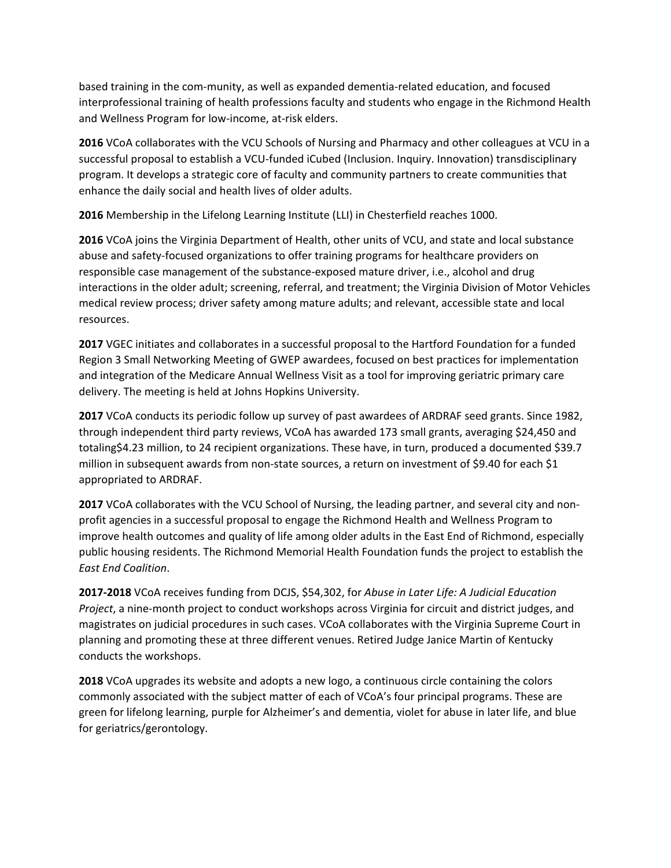based training in the com-munity, as well as expanded dementia-related education, and focused interprofessional training of health professions faculty and students who engage in the Richmond Health and Wellness Program for low-income, at-risk elders.

**2016** VCoA collaborates with the VCU Schools of Nursing and Pharmacy and other colleagues at VCU in a successful proposal to establish a VCU-funded iCubed (Inclusion. Inquiry. Innovation) transdisciplinary program. It develops a strategic core of faculty and community partners to create communities that enhance the daily social and health lives of older adults.

**2016** Membership in the Lifelong Learning Institute (LLI) in Chesterfield reaches 1000.

**2016** VCoA joins the Virginia Department of Health, other units of VCU, and state and local substance abuse and safety-focused organizations to offer training programs for healthcare providers on responsible case management of the substance-exposed mature driver, i.e., alcohol and drug interactions in the older adult; screening, referral, and treatment; the Virginia Division of Motor Vehicles medical review process; driver safety among mature adults; and relevant, accessible state and local resources.

**2017** VGEC initiates and collaborates in a successful proposal to the Hartford Foundation for a funded Region 3 Small Networking Meeting of GWEP awardees, focused on best practices for implementation and integration of the Medicare Annual Wellness Visit as a tool for improving geriatric primary care delivery. The meeting is held at Johns Hopkins University.

**2017** VCoA conducts its periodic follow up survey of past awardees of ARDRAF seed grants. Since 1982, through independent third party reviews, VCoA has awarded 173 small grants, averaging \$24,450 and totaling\$4.23 million, to 24 recipient organizations. These have, in turn, produced a documented \$39.7 million in subsequent awards from non-state sources, a return on investment of \$9.40 for each \$1 appropriated to ARDRAF.

**2017** VCoA collaborates with the VCU School of Nursing, the leading partner, and several city and nonprofit agencies in a successful proposal to engage the Richmond Health and Wellness Program to improve health outcomes and quality of life among older adults in the East End of Richmond, especially public housing residents. The Richmond Memorial Health Foundation funds the project to establish the *East End Coalition*.

**2017-2018** VCoA receives funding from DCJS, \$54,302, for *Abuse in Later Life: A Judicial Education Project*, a nine-month project to conduct workshops across Virginia for circuit and district judges, and magistrates on judicial procedures in such cases. VCoA collaborates with the Virginia Supreme Court in planning and promoting these at three different venues. Retired Judge Janice Martin of Kentucky conducts the workshops.

**2018** VCoA upgrades its website and adopts a new logo, a continuous circle containing the colors commonly associated with the subject matter of each of VCoA's four principal programs. These are green for lifelong learning, purple for Alzheimer's and dementia, violet for abuse in later life, and blue for geriatrics/gerontology.